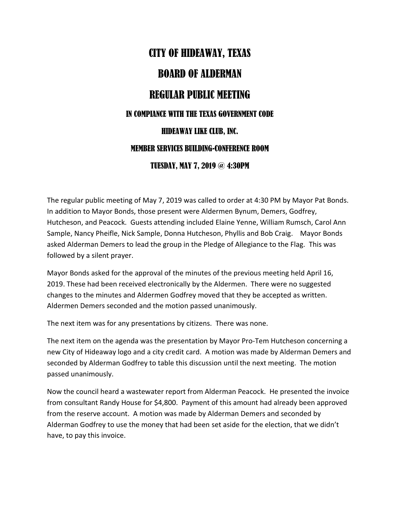## CITY OF HIDEAWAY, TEXAS BOARD OF ALDERMAN REGULAR PUBLIC MEETING IN COMPIANCE WITH THE TEXAS GOVERNMENT CODE HIDEAWAY LIKE CLUB, INC. MEMBER SERVICES BUILDING-CONFERENCE ROOM TUESDAY, MAY 7, 2019 @ 4:30PM

The regular public meeting of May 7, 2019 was called to order at 4:30 PM by Mayor Pat Bonds. In addition to Mayor Bonds, those present were Aldermen Bynum, Demers, Godfrey, Hutcheson, and Peacock. Guests attending included Elaine Yenne, William Rumsch, Carol Ann Sample, Nancy Pheifle, Nick Sample, Donna Hutcheson, Phyllis and Bob Craig. Mayor Bonds asked Alderman Demers to lead the group in the Pledge of Allegiance to the Flag. This was followed by a silent prayer.

Mayor Bonds asked for the approval of the minutes of the previous meeting held April 16, 2019. These had been received electronically by the Aldermen. There were no suggested changes to the minutes and Aldermen Godfrey moved that they be accepted as written. Aldermen Demers seconded and the motion passed unanimously.

The next item was for any presentations by citizens. There was none.

The next item on the agenda was the presentation by Mayor Pro-Tem Hutcheson concerning a new City of Hideaway logo and a city credit card. A motion was made by Alderman Demers and seconded by Alderman Godfrey to table this discussion until the next meeting. The motion passed unanimously.

Now the council heard a wastewater report from Alderman Peacock. He presented the invoice from consultant Randy House for \$4,800. Payment of this amount had already been approved from the reserve account. A motion was made by Alderman Demers and seconded by Alderman Godfrey to use the money that had been set aside for the election, that we didn't have, to pay this invoice.